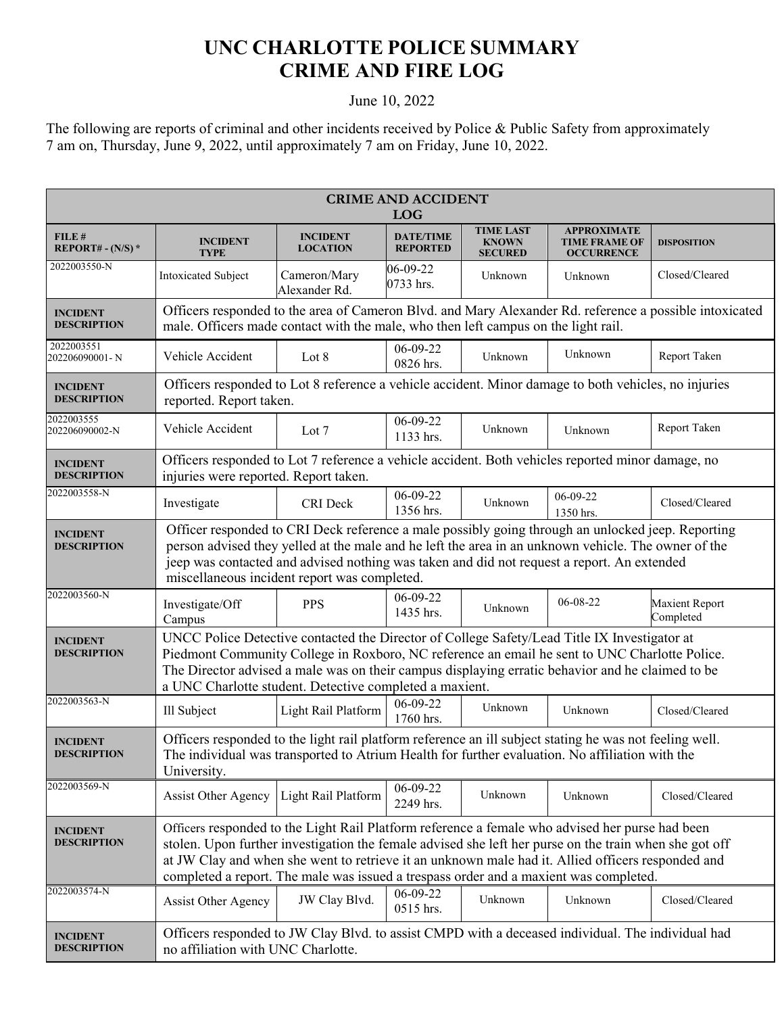## **UNC CHARLOTTE POLICE SUMMARY CRIME AND FIRE LOG**

## June 10, 2022

The following are reports of criminal and other incidents received by Police & Public Safety from approximately 7 am on, Thursday, June 9, 2022, until approximately 7 am on Friday, June 10, 2022.

| <b>CRIME AND ACCIDENT</b><br><b>LOG</b> |                                                                                                                                                                                                                                                                                                                                                                                                         |                                    |                                     |                                                    |                                                                 |                             |  |
|-----------------------------------------|---------------------------------------------------------------------------------------------------------------------------------------------------------------------------------------------------------------------------------------------------------------------------------------------------------------------------------------------------------------------------------------------------------|------------------------------------|-------------------------------------|----------------------------------------------------|-----------------------------------------------------------------|-----------------------------|--|
| FILE#<br>REPORT# - $(N/S)$ *            | <b>INCIDENT</b><br><b>TYPE</b>                                                                                                                                                                                                                                                                                                                                                                          | <b>INCIDENT</b><br><b>LOCATION</b> | <b>DATE/TIME</b><br><b>REPORTED</b> | <b>TIME LAST</b><br><b>KNOWN</b><br><b>SECURED</b> | <b>APPROXIMATE</b><br><b>TIME FRAME OF</b><br><b>OCCURRENCE</b> | <b>DISPOSITION</b>          |  |
| 2022003550-N                            | Intoxicated Subject                                                                                                                                                                                                                                                                                                                                                                                     | Cameron/Mary<br>Alexander Rd.      | 06-09-22<br>0733 hrs.               | Unknown                                            | Unknown                                                         | Closed/Cleared              |  |
| <b>INCIDENT</b><br><b>DESCRIPTION</b>   | Officers responded to the area of Cameron Blvd. and Mary Alexander Rd. reference a possible intoxicated<br>male. Officers made contact with the male, who then left campus on the light rail.                                                                                                                                                                                                           |                                    |                                     |                                                    |                                                                 |                             |  |
| 2022003551<br>202206090001-N            | Vehicle Accident                                                                                                                                                                                                                                                                                                                                                                                        | Lot 8                              | $06 - 09 - 22$<br>0826 hrs.         | Unknown                                            | Unknown                                                         | Report Taken                |  |
| <b>INCIDENT</b><br><b>DESCRIPTION</b>   | Officers responded to Lot 8 reference a vehicle accident. Minor damage to both vehicles, no injuries<br>reported. Report taken.                                                                                                                                                                                                                                                                         |                                    |                                     |                                                    |                                                                 |                             |  |
| 2022003555<br>202206090002-N            | Vehicle Accident                                                                                                                                                                                                                                                                                                                                                                                        | Lot 7                              | 06-09-22<br>1133 hrs.               | Unknown                                            | Unknown                                                         | Report Taken                |  |
| <b>INCIDENT</b><br><b>DESCRIPTION</b>   | Officers responded to Lot 7 reference a vehicle accident. Both vehicles reported minor damage, no<br>injuries were reported. Report taken.                                                                                                                                                                                                                                                              |                                    |                                     |                                                    |                                                                 |                             |  |
| 2022003558-N                            | Investigate                                                                                                                                                                                                                                                                                                                                                                                             | CRI Deck                           | $06-09-22$<br>1356 hrs.             | Unknown                                            | 06-09-22<br>1350 hrs.                                           | Closed/Cleared              |  |
| <b>INCIDENT</b><br><b>DESCRIPTION</b>   | Officer responded to CRI Deck reference a male possibly going through an unlocked jeep. Reporting<br>person advised they yelled at the male and he left the area in an unknown vehicle. The owner of the<br>jeep was contacted and advised nothing was taken and did not request a report. An extended<br>miscellaneous incident report was completed.                                                  |                                    |                                     |                                                    |                                                                 |                             |  |
| 2022003560-N                            | Investigate/Off<br>Campus                                                                                                                                                                                                                                                                                                                                                                               | <b>PPS</b>                         | $06 - 09 - 22$<br>1435 hrs.         | Unknown                                            | 06-08-22                                                        | Maxient Report<br>Completed |  |
| <b>INCIDENT</b><br><b>DESCRIPTION</b>   | UNCC Police Detective contacted the Director of College Safety/Lead Title IX Investigator at<br>Piedmont Community College in Roxboro, NC reference an email he sent to UNC Charlotte Police.<br>The Director advised a male was on their campus displaying erratic behavior and he claimed to be<br>a UNC Charlotte student. Detective completed a maxient.                                            |                                    |                                     |                                                    |                                                                 |                             |  |
| 2022003563-N                            | Ill Subject                                                                                                                                                                                                                                                                                                                                                                                             | Light Rail Platform                | $06-09-22$<br>1760 hrs.             | Unknown                                            | Unknown                                                         | Closed/Cleared              |  |
| <b>INCIDENT</b><br><b>DESCRIPTION</b>   | Officers responded to the light rail platform reference an ill subject stating he was not feeling well.<br>The individual was transported to Atrium Health for further evaluation. No affiliation with the<br>University.                                                                                                                                                                               |                                    |                                     |                                                    |                                                                 |                             |  |
| 2022003569-N                            | Assist Other Agency                                                                                                                                                                                                                                                                                                                                                                                     | Light Rail Platform                | 06-09-22<br>2249 hrs.               | Unknown                                            | Unknown                                                         | Closed/Cleared              |  |
| <b>INCIDENT</b><br><b>DESCRIPTION</b>   | Officers responded to the Light Rail Platform reference a female who advised her purse had been<br>stolen. Upon further investigation the female advised she left her purse on the train when she got off<br>at JW Clay and when she went to retrieve it an unknown male had it. Allied officers responded and<br>completed a report. The male was issued a trespass order and a maxient was completed. |                                    |                                     |                                                    |                                                                 |                             |  |
| 2022003574-N                            | Assist Other Agency                                                                                                                                                                                                                                                                                                                                                                                     | JW Clay Blvd.                      | 06-09-22<br>0515 hrs.               | Unknown                                            | Unknown                                                         | Closed/Cleared              |  |
| <b>INCIDENT</b><br><b>DESCRIPTION</b>   | Officers responded to JW Clay Blvd. to assist CMPD with a deceased individual. The individual had<br>no affiliation with UNC Charlotte.                                                                                                                                                                                                                                                                 |                                    |                                     |                                                    |                                                                 |                             |  |